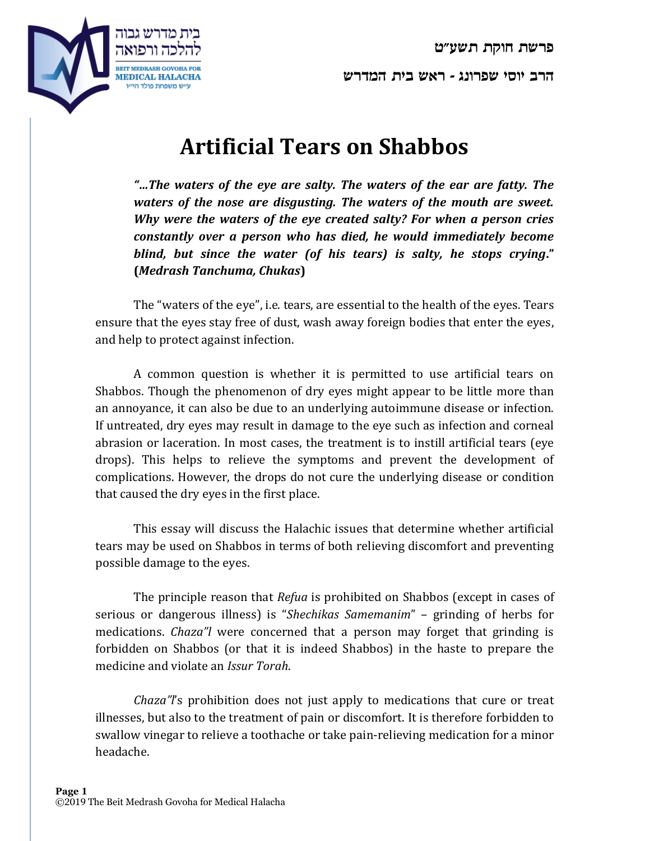**פרשת חוקת תשע"ט**



**הרב יוסי שפרונג - ראש בית המדרש**

## **Artificial Tears on Shabbos**

*"…The waters of the eye are salty. The waters of the ear are fatty. The waters of the nose are disgusting. The waters of the mouth are sweet. Why were the waters of the eye created salty? For when a person cries constantly over a person who has died, he would immediately become blind, but since the water (of his tears) is salty, he stops crying***." (***Medrash Tanchuma, Chukas***)**

The "waters of the eye", i.e. tears, are essential to the health of the eyes. Tears ensure that the eyes stay free of dust, wash away foreign bodies that enter the eyes, and help to protect against infection.

A common question is whether it is permitted to use artificial tears on Shabbos. Though the phenomenon of dry eyes might appear to be little more than an annoyance, it can also be due to an underlying autoimmune disease or infection. If untreated, dry eyes may result in damage to the eye such as infection and corneal abrasion or laceration. In most cases, the treatment is to instill artificial tears (eye drops). This helps to relieve the symptoms and prevent the development of complications. However, the drops do not cure the underlying disease or condition that caused the dry eyes in the first place.

This essay will discuss the Halachic issues that determine whether artificial tears may be used on Shabbos in terms of both relieving discomfort and preventing possible damage to the eyes.

The principle reason that *Refua* is prohibited on Shabbos (except in cases of serious or dangerous illness) is "*Shechikas Samemanim*" – grinding of herbs for medications. *Chaza"l* were concerned that a person may forget that grinding is forbidden on Shabbos (or that it is indeed Shabbos) in the haste to prepare the medicine and violate an *Issur Torah*.

*Chaza"l*'s prohibition does not just apply to medications that cure or treat illnesses, but also to the treatment of pain or discomfort. It is therefore forbidden to swallow vinegar to relieve a toothache or take pain-relieving medication for a minor headache.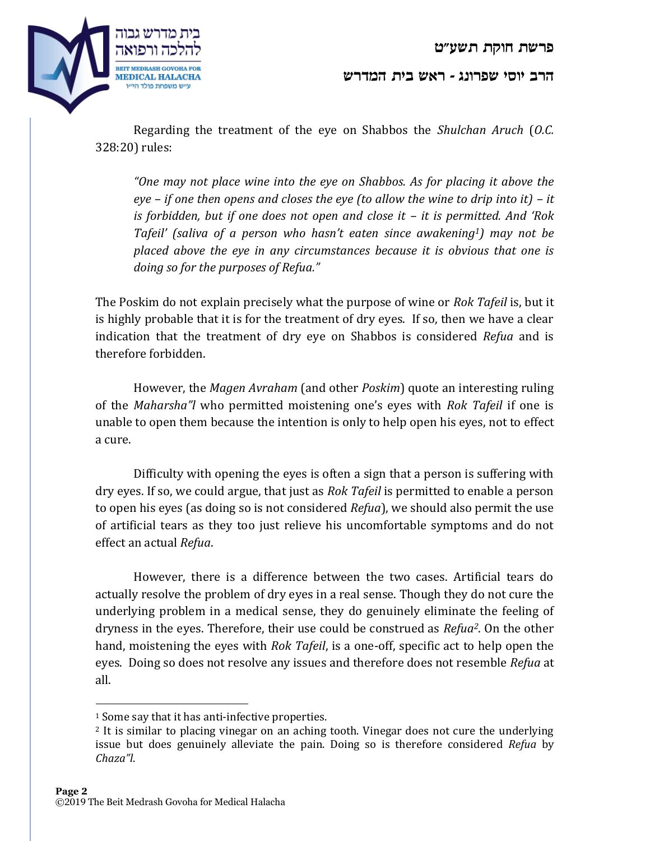

**הרב יוסי שפרונג - ראש בית המדרש**

Regarding the treatment of the eye on Shabbos the *Shulchan Aruch* (*O.C.* 328:20) rules:

*"One may not place wine into the eye on Shabbos. As for placing it above the eye – if one then opens and closes the eye (to allow the wine to drip into it) – it is forbidden, but if one does not open and close it – it is permitted. And 'Rok Tafeil' (saliva of a person who hasn't eaten since awakening1) may not be placed above the eye in any circumstances because it is obvious that one is doing so for the purposes of Refua."*

The Poskim do not explain precisely what the purpose of wine or *Rok Tafeil* is, but it is highly probable that it is for the treatment of dry eyes. If so, then we have a clear indication that the treatment of dry eye on Shabbos is considered *Refua* and is therefore forbidden.

However, the *Magen Avraham* (and other *Poskim*) quote an interesting ruling of the *Maharsha"l* who permitted moistening one's eyes with *Rok Tafeil* if one is unable to open them because the intention is only to help open his eyes, not to effect a cure.

Difficulty with opening the eyes is often a sign that a person is suffering with dry eyes. If so, we could argue, that just as *Rok Tafeil* is permitted to enable a person to open his eyes (as doing so is not considered *Refua*), we should also permit the use of artificial tears as they too just relieve his uncomfortable symptoms and do not effect an actual *Refua*.

However, there is a difference between the two cases. Artificial tears do actually resolve the problem of dry eyes in a real sense. Though they do not cure the underlying problem in a medical sense, they do genuinely eliminate the feeling of dryness in the eyes. Therefore, their use could be construed as *Refua2*. On the other hand, moistening the eyes with *Rok Tafeil*, is a one-off, specific act to help open the eyes. Doing so does not resolve any issues and therefore does not resemble *Refua* at all.

 $\overline{a}$ 

<sup>&</sup>lt;sup>1</sup> Some say that it has anti-infective properties.

<sup>2</sup> It is similar to placing vinegar on an aching tooth. Vinegar does not cure the underlying issue but does genuinely alleviate the pain. Doing so is therefore considered *Refua* by *Chaza"l*.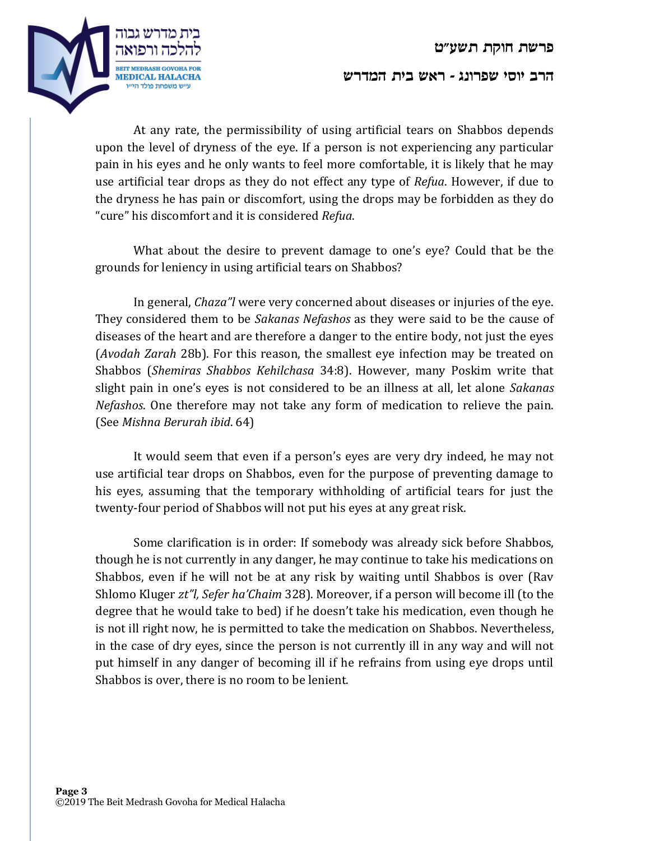

## **הרב יוסי שפרונג - ראש בית המדרש**

At any rate, the permissibility of using artificial tears on Shabbos depends upon the level of dryness of the eye. If a person is not experiencing any particular pain in his eyes and he only wants to feel more comfortable, it is likely that he may use artificial tear drops as they do not effect any type of *Refua*. However, if due to the dryness he has pain or discomfort, using the drops may be forbidden as they do "cure" his discomfort and it is considered *Refua*.

What about the desire to prevent damage to one's eye? Could that be the grounds for leniency in using artificial tears on Shabbos?

In general, *Chaza"l* were very concerned about diseases or injuries of the eye. They considered them to be *Sakanas Nefashos* as they were said to be the cause of diseases of the heart and are therefore a danger to the entire body, not just the eyes (*Avodah Zarah* 28b). For this reason, the smallest eye infection may be treated on Shabbos (*Shemiras Shabbos Kehilchasa* 34:8). However, many Poskim write that slight pain in one's eyes is not considered to be an illness at all, let alone *Sakanas Nefashos*. One therefore may not take any form of medication to relieve the pain. (See *Mishna Berurah ibid*. 64)

It would seem that even if a person's eyes are very dry indeed, he may not use artificial tear drops on Shabbos, even for the purpose of preventing damage to his eyes, assuming that the temporary withholding of artificial tears for just the twenty-four period of Shabbos will not put his eyes at any great risk.

Some clarification is in order: If somebody was already sick before Shabbos, though he is not currently in any danger, he may continue to take his medications on Shabbos, even if he will not be at any risk by waiting until Shabbos is over (Rav Shlomo Kluger *zt"l, Sefer ha'Chaim* 328). Moreover, if a person will become ill (to the degree that he would take to bed) if he doesn't take his medication, even though he is not ill right now, he is permitted to take the medication on Shabbos. Nevertheless, in the case of dry eyes, since the person is not currently ill in any way and will not put himself in any danger of becoming ill if he refrains from using eye drops until Shabbos is over, there is no room to be lenient.